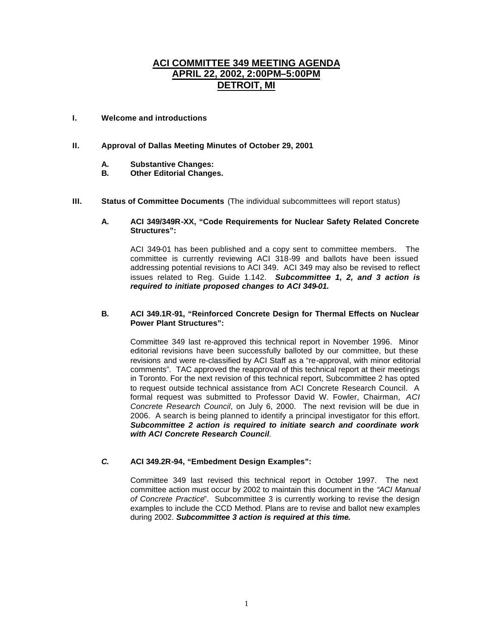# **ACI COMMITTEE 349 MEETING AGENDA APRIL 22, 2002, 2:00PM–5:00PM DETROIT, MI**

# **I. Welcome and introductions**

## **II. Approval of Dallas Meeting Minutes of October 29, 2001**

- **A. Substantive Changes:**
- **B. Other Editorial Changes.**
- **III. Status of Committee Documents** (The individual subcommittees will report status)

#### **A. ACI 349/349R-XX, "Code Requirements for Nuclear Safety Related Concrete Structures":**

ACI 349-01 has been published and a copy sent to committee members. The committee is currently reviewing ACI 318-99 and ballots have been issued addressing potential revisions to ACI 349. ACI 349 may also be revised to reflect issues related to Reg. Guide 1.142. *Subcommittee 1, 2, and 3 action is required to initiate proposed changes to ACI 349-01.*

## **B. ACI 349.1R-91, "Reinforced Concrete Design for Thermal Effects on Nuclear Power Plant Structures":**

Committee 349 last re-approved this technical report in November 1996. Minor editorial revisions have been successfully balloted by our committee, but these revisions and were re-classified by ACI Staff as a "re-approval, with minor editorial comments". TAC approved the reapproval of this technical report at their meetings in Toronto. For the next revision of this technical report, Subcommittee 2 has opted to request outside technical assistance from ACI Concrete Research Council. A formal request was submitted to Professor David W. Fowler, Chairman, *ACI Concrete Research Council*, on July 6, 2000. The next revision will be due in 2006. A search is being planned to identify a principal investigator for this effort. *Subcommittee 2 action is required to initiate search and coordinate work with ACI Concrete Research Council.*

## *C.* **ACI 349.2R-94, "Embedment Design Examples":**

Committee 349 last revised this technical report in October 1997. The next committee action must occur by 2002 to maintain this document in the *"ACI Manual of Concrete Practice*". Subcommittee 3 is currently working to revise the design examples to include the CCD Method. Plans are to revise and ballot new examples during 2002. *Subcommittee 3 action is required at this time.*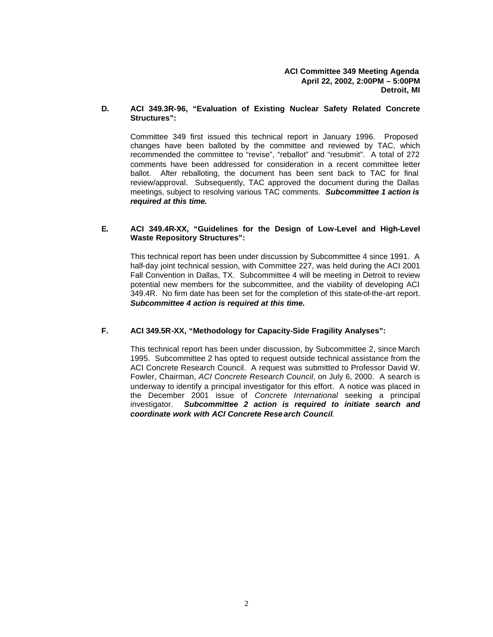**ACI Committee 349 Meeting Agenda April 22, 2002, 2:00PM – 5:00PM Detroit, MI**

#### **D. ACI 349.3R-96, "Evaluation of Existing Nuclear Safety Related Concrete Structures":**

Committee 349 first issued this technical report in January 1996. Proposed changes have been balloted by the committee and reviewed by TAC, which recommended the committee to "revise", "reballot" and "resubmit". A total of 272 comments have been addressed for consideration in a recent committee letter ballot. After reballoting, the document has been sent back to TAC for final review/approval. Subsequently, TAC approved the document during the Dallas meetings, subject to resolving various TAC comments. *Subcommittee 1 action is required at this time.*

#### **E. ACI 349.4R-XX, "Guidelines for the Design of Low-Level and High-Level Waste Repository Structures":**

This technical report has been under discussion by Subcommittee 4 since 1991. A half-day joint technical session, with Committee 227, was held during the ACI 2001 Fall Convention in Dallas, TX. Subcommittee 4 will be meeting in Detroit to review potential new members for the subcommittee, and the viability of developing ACI 349.4R. No firm date has been set for the completion of this state-of-the-art report. *Subcommittee 4 action is required at this time.* 

# **F. ACI 349.5R-XX, "Methodology for Capacity-Side Fragility Analyses":**

This technical report has been under discussion, by Subcommittee 2, since March 1995. Subcommittee 2 has opted to request outside technical assistance from the ACI Concrete Research Council. A request was submitted to Professor David W. Fowler, Chairman, *ACI Concrete Research Council*, on July 6, 2000. A search is underway to identify a principal investigator for this effort. A notice was placed in the December 2001 issue of *Concrete International* seeking a principal investigator. *Subcommittee 2 action is required to initiate search and coordinate work with ACI Concrete Rese arch Council.*